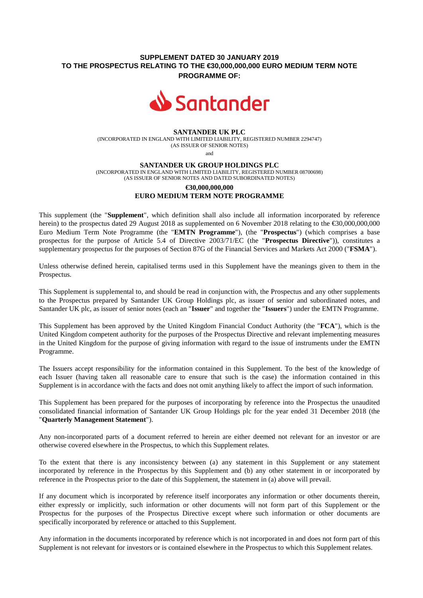## **SUPPLEMENT DATED 30 JANUARY 2019 TO THE PROSPECTUS RELATING TO THE €30,000,000,000 EURO MEDIUM TERM NOTE PROGRAMME OF:**



#### **SANTANDER UK PLC**

(INCORPORATED IN ENGLAND WITH LIMITED LIABILITY, REGISTERED NUMBER 2294747) (AS ISSUER OF SENIOR NOTES)

and

#### **SANTANDER UK GROUP HOLDINGS PLC**

(INCORPORATED IN ENGLAND WITH LIMITED LIABILITY, REGISTERED NUMBER 08700698) (AS ISSUER OF SENIOR NOTES AND DATED SUBORDINATED NOTES)

# **€30,000,000,000 EURO MEDIUM TERM NOTE PROGRAMME**

This supplement (the "**Supplement**", which definition shall also include all information incorporated by reference herein) to the prospectus dated 29 August 2018 as supplemented on 6 November 2018 relating to the €30,000,000,000 Euro Medium Term Note Programme (the "**EMTN Programme**"), (the "**Prospectus**") (which comprises a base prospectus for the purpose of Article 5.4 of Directive 2003/71/EC (the "**Prospectus Directive**")), constitutes a supplementary prospectus for the purposes of Section 87G of the Financial Services and Markets Act 2000 ("**FSMA**").

Unless otherwise defined herein, capitalised terms used in this Supplement have the meanings given to them in the Prospectus.

This Supplement is supplemental to, and should be read in conjunction with, the Prospectus and any other supplements to the Prospectus prepared by Santander UK Group Holdings plc, as issuer of senior and subordinated notes, and Santander UK plc, as issuer of senior notes (each an "**Issuer**" and together the "**Issuers**") under the EMTN Programme.

This Supplement has been approved by the United Kingdom Financial Conduct Authority (the "**FCA**"), which is the United Kingdom competent authority for the purposes of the Prospectus Directive and relevant implementing measures in the United Kingdom for the purpose of giving information with regard to the issue of instruments under the EMTN Programme.

The Issuers accept responsibility for the information contained in this Supplement. To the best of the knowledge of each Issuer (having taken all reasonable care to ensure that such is the case) the information contained in this Supplement is in accordance with the facts and does not omit anything likely to affect the import of such information.

This Supplement has been prepared for the purposes of incorporating by reference into the Prospectus the unaudited consolidated financial information of Santander UK Group Holdings plc for the year ended 31 December 2018 (the "**Quarterly Management Statement**").

Any non-incorporated parts of a document referred to herein are either deemed not relevant for an investor or are otherwise covered elsewhere in the Prospectus, to which this Supplement relates.

To the extent that there is any inconsistency between (a) any statement in this Supplement or any statement incorporated by reference in the Prospectus by this Supplement and (b) any other statement in or incorporated by reference in the Prospectus prior to the date of this Supplement, the statement in (a) above will prevail.

If any document which is incorporated by reference itself incorporates any information or other documents therein, either expressly or implicitly, such information or other documents will not form part of this Supplement or the Prospectus for the purposes of the Prospectus Directive except where such information or other documents are specifically incorporated by reference or attached to this Supplement.

Any information in the documents incorporated by reference which is not incorporated in and does not form part of this Supplement is not relevant for investors or is contained elsewhere in the Prospectus to which this Supplement relates.